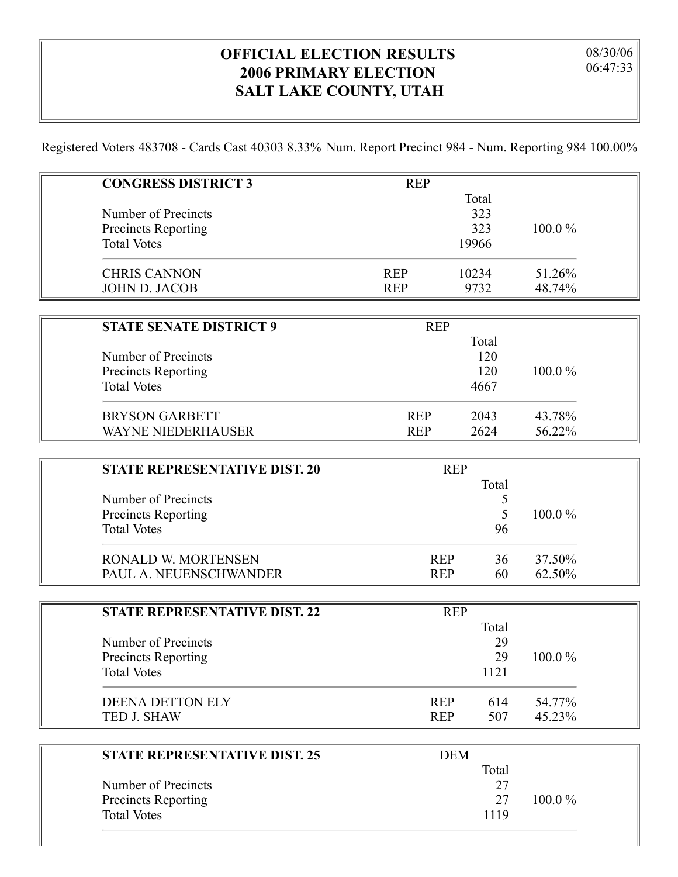## **OFFICIAL ELECTION RESULTS 2006 PRIMARY ELECTION SALT LAKE COUNTY, UTAH**

 $\parallel$ 

Registered Voters 483708 - Cards Cast 40303 8.33% Num. Report Precinct 984 - Num. Reporting 984 100.00%

| <b>CONGRESS DISTRICT 3</b>           | <b>REP</b> |            |        |
|--------------------------------------|------------|------------|--------|
|                                      |            | Total      |        |
| Number of Precincts                  |            | 323        |        |
| <b>Precincts Reporting</b>           |            | 323        | 100.0% |
| <b>Total Votes</b>                   |            | 19966      |        |
| <b>CHRIS CANNON</b>                  | <b>REP</b> | 10234      | 51.26% |
| <b>JOHN D. JACOB</b>                 | <b>REP</b> | 9732       | 48.74% |
|                                      |            |            |        |
| <b>STATE SENATE DISTRICT 9</b>       | <b>REP</b> |            |        |
|                                      |            | Total      |        |
| Number of Precincts                  |            | 120        |        |
| <b>Precincts Reporting</b>           |            | 120        | 100.0% |
| <b>Total Votes</b>                   |            | 4667       |        |
| <b>BRYSON GARBETT</b>                | <b>REP</b> | 2043       | 43.78% |
| <b>WAYNE NIEDERHAUSER</b>            | <b>REP</b> | 2624       | 56.22% |
|                                      |            |            |        |
| <b>STATE REPRESENTATIVE DIST. 20</b> |            | <b>REP</b> |        |
|                                      |            | Total      |        |
| Number of Precincts                  |            | 5          |        |
| <b>Precincts Reporting</b>           |            | 5          | 100.0% |

| <b>Total Votes</b>     |            | 96 |        |
|------------------------|------------|----|--------|
| RONALD W. MORTENSEN    | <b>REP</b> | 36 | 37.50% |
| PAUL A. NEUENSCHWANDER | <b>REP</b> | 60 | 62.50% |

| <b>STATE REPRESENTATIVE DIST. 22</b> | <b>REP</b> |       |           |  |
|--------------------------------------|------------|-------|-----------|--|
|                                      |            | Total |           |  |
| Number of Precincts                  |            | 29    |           |  |
| Precincts Reporting                  |            | 29    | $100.0\%$ |  |
| <b>Total Votes</b>                   |            | 1121  |           |  |
| <b>DEENA DETTON ELY</b>              | <b>REP</b> | 614   | 54.77%    |  |
| TED J. SHAW                          | <b>REP</b> | 507   | 45.23%    |  |

| <b>STATE REPRESENTATIVE DIST. 25</b> | DEM   |           |
|--------------------------------------|-------|-----------|
|                                      | Total |           |
| Number of Precincts                  |       |           |
| <b>Precincts Reporting</b>           | -27   | $100.0\%$ |
| <b>Total Votes</b>                   | 1119  |           |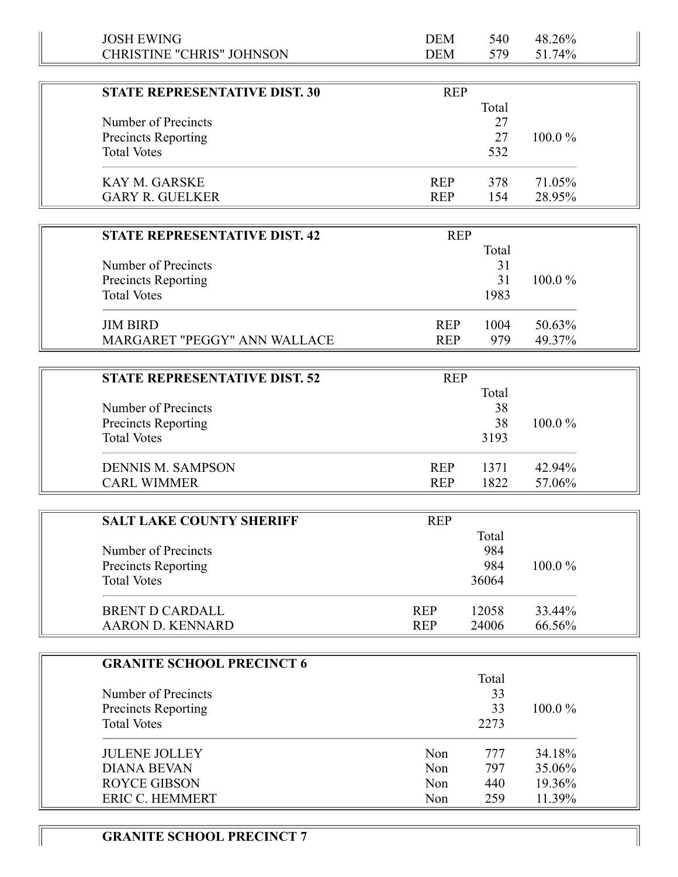| <b>JOSH EWING</b>                    | <b>DEM</b> | 540   | 48.26%    |
|--------------------------------------|------------|-------|-----------|
| <b>CHRISTINE "CHRIS" JOHNSON</b>     | <b>DEM</b> | 579   | 51.74%    |
|                                      |            |       |           |
| <b>STATE REPRESENTATIVE DIST. 30</b> | <b>REP</b> |       |           |
|                                      |            | Total |           |
| Number of Precincts                  |            | 27    |           |
| <b>Precincts Reporting</b>           |            | 27    | $100.0\%$ |
| <b>Total Votes</b>                   |            | 532   |           |
| <b>KAY M. GARSKE</b>                 | <b>REP</b> | 378   | 71.05%    |
| <b>GARY R. GUELKER</b>               | <b>REP</b> | 154   | 28.95%    |
| <b>STATE REPRESENTATIVE DIST. 42</b> | <b>REP</b> |       |           |
|                                      |            | Total |           |
| Number of Precincts                  |            | 31    |           |
|                                      |            | 31    | $100.0\%$ |
| <b>Precincts Reporting</b>           |            |       |           |
| <b>Total Votes</b>                   |            | 1983  |           |
| <b>JIM BIRD</b>                      | <b>REP</b> | 1004  | 50.63%    |
| <b>MARGARET "PEGGY" ANN WALLACE</b>  | <b>REP</b> | 979   | 49.37%    |

| <b>STATE REPRESENTATIVE DIST. 52</b>                                    | <b>REP</b>                               |                  |
|-------------------------------------------------------------------------|------------------------------------------|------------------|
| Number of Precincts<br><b>Precincts Reporting</b><br><b>Total Votes</b> | Total<br>38<br>38<br>3193                | $100.0\%$        |
| <b>DENNIS M. SAMPSON</b><br><b>CARL WIMMER</b>                          | <b>REP</b><br>1371<br>1822<br><b>REP</b> | 42.94%<br>57.06% |

| <b>SALT LAKE COUNTY SHERIFF</b> | <b>REP</b>          |           |
|---------------------------------|---------------------|-----------|
| Number of Precincts             | Total<br>984        |           |
| <b>Precincts Reporting</b>      | 984                 | $100.0\%$ |
| <b>Total Votes</b>              | 36064               |           |
| <b>BRENT D CARDALL</b>          | 12058<br><b>REP</b> | 33.44%    |
| <b>AARON D. KENNARD</b>         | 24006<br><b>REP</b> | 66.56%    |

| <b>GRANITE SCHOOL PRECINCT 6</b> |     |       |           |
|----------------------------------|-----|-------|-----------|
|                                  |     | Total |           |
| Number of Precincts              |     | 33    |           |
| <b>Precincts Reporting</b>       |     | 33    | $100.0\%$ |
| <b>Total Votes</b>               |     | 2273  |           |
| <b>JULENE JOLLEY</b>             | Non | 777   | 34.18%    |
| <b>DIANA BEVAN</b>               | Non | 797   | 35.06%    |
| <b>ROYCE GIBSON</b>              | Non | 440   | 19.36%    |
| <b>ERIC C. HEMMERT</b>           | Non | 259   | 11.39%    |